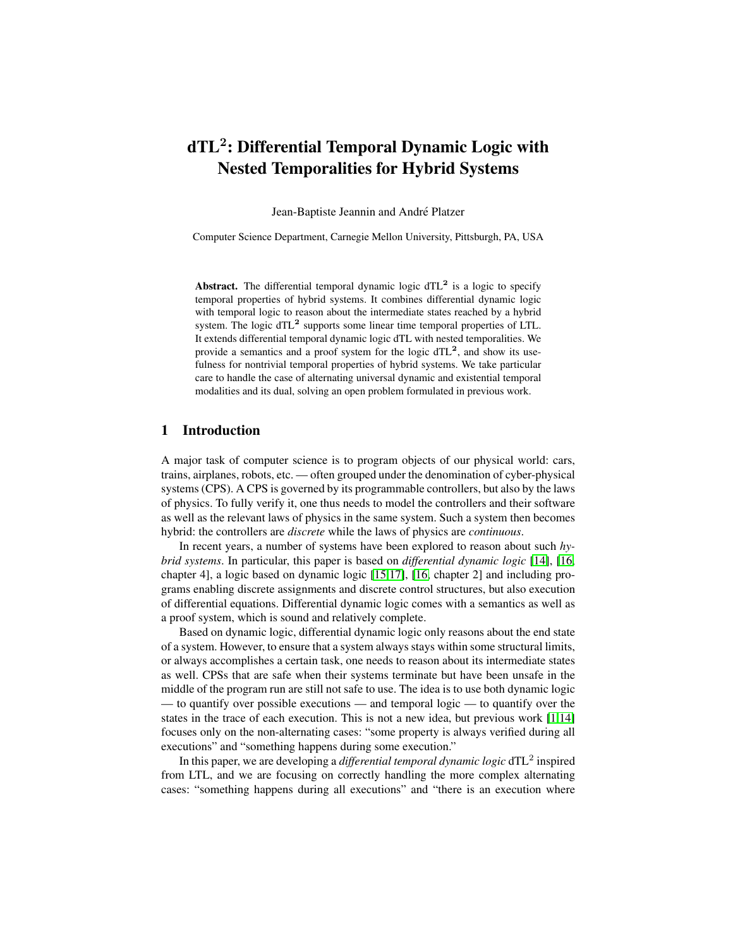# dTL<sup>2</sup>: Differential Temporal Dynamic Logic with Nested Temporalities for Hybrid Systems

Jean-Baptiste Jeannin and André Platzer

Computer Science Department, Carnegie Mellon University, Pittsburgh, PA, USA

**Abstract.** The differential temporal dynamic logic  $dTL^2$  is a logic to specify temporal properties of hybrid systems. It combines differential dynamic logic with temporal logic to reason about the intermediate states reached by a hybrid system. The logic  $dTL^2$  supports some linear time temporal properties of LTL. It extends differential temporal dynamic logic dTL with nested temporalities. We provide a semantics and a proof system for the logic  $dTL^2$ , and show its usefulness for nontrivial temporal properties of hybrid systems. We take particular care to handle the case of alternating universal dynamic and existential temporal modalities and its dual, solving an open problem formulated in previous work.

# 1 Introduction

A major task of computer science is to program objects of our physical world: cars, trains, airplanes, robots, etc. — often grouped under the denomination of cyber-physical systems (CPS). A CPS is governed by its programmable controllers, but also by the laws of physics. To fully verify it, one thus needs to model the controllers and their software as well as the relevant laws of physics in the same system. Such a system then becomes hybrid: the controllers are *discrete* while the laws of physics are *continuous*.

In recent years, a number of systems have been explored to reason about such *hybrid systems*. In particular, this paper is based on *differential dynamic logic* [\[14\]](#page-14-0), [\[16,](#page-14-1) chapter 4], a logic based on dynamic logic [\[15](#page-14-2)[,17\]](#page-14-3), [\[16,](#page-14-1) chapter 2] and including programs enabling discrete assignments and discrete control structures, but also execution of differential equations. Differential dynamic logic comes with a semantics as well as a proof system, which is sound and relatively complete.

Based on dynamic logic, differential dynamic logic only reasons about the end state of a system. However, to ensure that a system always stays within some structural limits, or always accomplishes a certain task, one needs to reason about its intermediate states as well. CPSs that are safe when their systems terminate but have been unsafe in the middle of the program run are still not safe to use. The idea is to use both dynamic logic — to quantify over possible executions — and temporal logic — to quantify over the states in the trace of each execution. This is not a new idea, but previous work [\[1](#page-14-4)[,14\]](#page-14-0) focuses only on the non-alternating cases: "some property is always verified during all executions" and "something happens during some execution."

In this paper, we are developing a *differential temporal dynamic logic*  $dTL^2$  inspired from LTL, and we are focusing on correctly handling the more complex alternating cases: "something happens during all executions" and "there is an execution where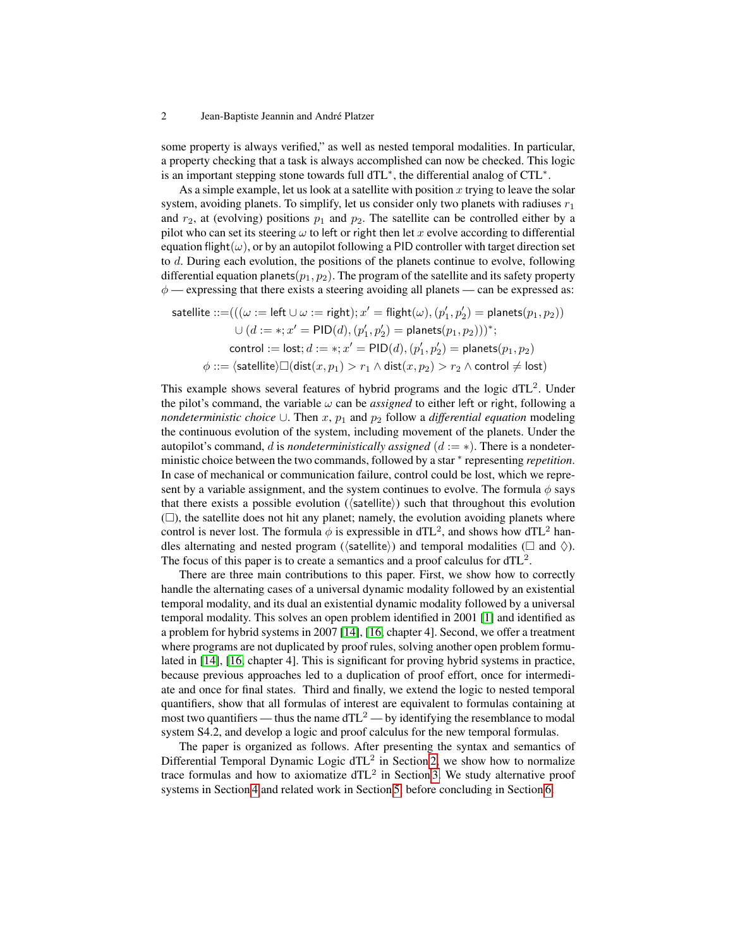some property is always verified," as well as nested temporal modalities. In particular, a property checking that a task is always accomplished can now be checked. This logic is an important stepping stone towards full dTL<sup>\*</sup>, the differential analog of CTL<sup>\*</sup>.

As a simple example, let us look at a satellite with position x trying to leave the solar system, avoiding planets. To simplify, let us consider only two planets with radiuses  $r_1$ and  $r_2$ , at (evolving) positions  $p_1$  and  $p_2$ . The satellite can be controlled either by a pilot who can set its steering  $\omega$  to left or right then let x evolve according to differential equation flight( $\omega$ ), or by an autopilot following a PID controller with target direction set to d. During each evolution, the positions of the planets continue to evolve, following differential equation planets( $p_1, p_2$ ). The program of the satellite and its safety property  $\phi$  — expressing that there exists a steering avoiding all planets — can be expressed as:

$$
\begin{aligned} \text{satellite} & ::= (((\omega := \textsf{left} \cup \omega := \textsf{right}); x' = \textsf{flight}(\omega), (p'_1, p'_2) = \textsf{planets}(p_1, p_2)) \\ & \cup (d := *, x' = \textsf{PID}(d), (p'_1, p'_2) = \textsf{planets}(p_1, p_2)))^*; \\ & \quad \text{control} := \textsf{lost}; d := *, x' = \textsf{PID}(d), (p'_1, p'_2) = \textsf{planets}(p_1, p_2) \\ & \phi ::= \langle \textsf{satellite} \rangle \Box(\textsf{dist}(x, p_1) > r_1 \land \textsf{dist}(x, p_2) > r_2 \land \textsf{control} \neq \textsf{lost}) \end{aligned}
$$

This example shows several features of hybrid programs and the logic  $dTL<sup>2</sup>$ . Under the pilot's command, the variable  $\omega$  can be *assigned* to either left or right, following a *nondeterministic choice* ∪. Then x,  $p_1$  and  $p_2$  follow a *differential equation* modeling the continuous evolution of the system, including movement of the planets. Under the autopilot's command, d is *nondeterministically assigned* ( $d := *$ ). There is a nondeterministic choice between the two commands, followed by a star <sup>∗</sup> representing *repetition*. In case of mechanical or communication failure, control could be lost, which we represent by a variable assignment, and the system continues to evolve. The formula  $\phi$  says that there exists a possible evolution  $(\langle satellite \rangle)$  such that throughout this evolution  $(\square)$ , the satellite does not hit any planet; namely, the evolution avoiding planets where control is never lost. The formula  $\phi$  is expressible in dTL<sup>2</sup>, and shows how dTL<sup>2</sup> handles alternating and nested program ( $\langle$ satellite $\rangle$ ) and temporal modalities ( $\Box$  and  $\Diamond$ ). The focus of this paper is to create a semantics and a proof calculus for  $dTL^2$ .

There are three main contributions to this paper. First, we show how to correctly handle the alternating cases of a universal dynamic modality followed by an existential temporal modality, and its dual an existential dynamic modality followed by a universal temporal modality. This solves an open problem identified in 2001 [\[1\]](#page-14-4) and identified as a problem for hybrid systems in 2007 [\[14\]](#page-14-0), [\[16,](#page-14-1) chapter 4]. Second, we offer a treatment where programs are not duplicated by proof rules, solving another open problem formulated in [\[14\]](#page-14-0), [\[16,](#page-14-1) chapter 4]. This is significant for proving hybrid systems in practice, because previous approaches led to a duplication of proof effort, once for intermediate and once for final states. Third and finally, we extend the logic to nested temporal quantifiers, show that all formulas of interest are equivalent to formulas containing at most two quantifiers — thus the name  $dTL^2$  — by identifying the resemblance to modal system S4.2, and develop a logic and proof calculus for the new temporal formulas.

The paper is organized as follows. After presenting the syntax and semantics of Differential Temporal Dynamic Logic  $dTL^2$  in Section [2,](#page-2-0) we show how to normalize trace formulas and how to axiomatize  $dTL^2$  in Section [3.](#page-5-0) We study alternative proof systems in Section [4](#page-12-0) and related work in Section [5,](#page-12-1) before concluding in Section [6.](#page-13-0)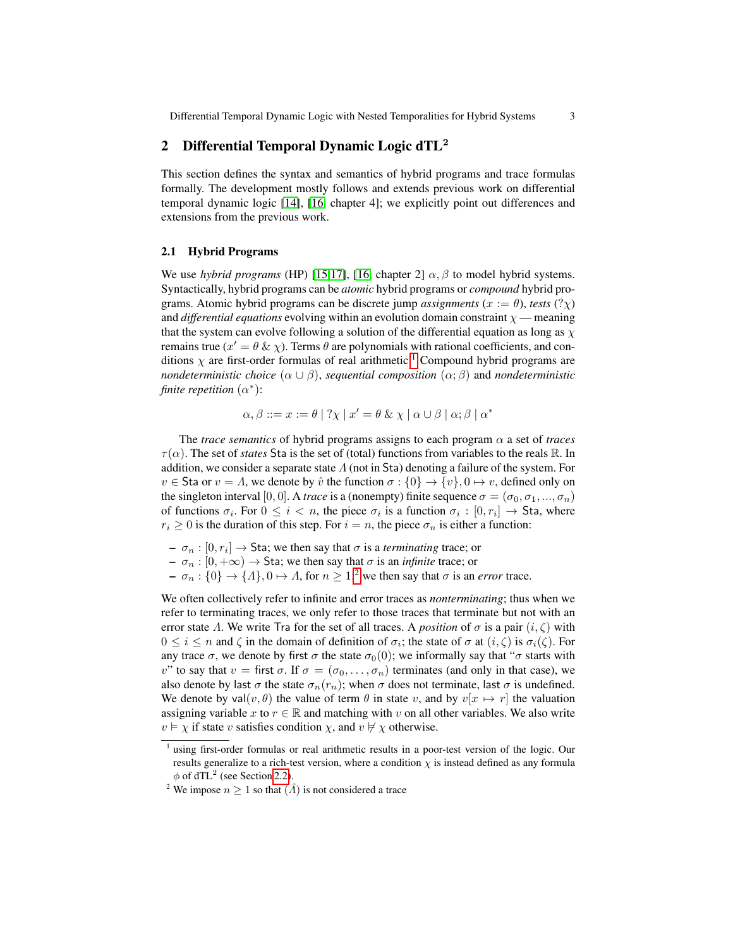# <span id="page-2-0"></span>2 Differential Temporal Dynamic Logic  $dTL^2$

This section defines the syntax and semantics of hybrid programs and trace formulas formally. The development mostly follows and extends previous work on differential temporal dynamic logic [\[14\]](#page-14-0), [\[16,](#page-14-1) chapter 4]; we explicitly point out differences and extensions from the previous work.

#### 2.1 Hybrid Programs

We use *hybrid programs* (HP) [\[15,](#page-14-2)[17\]](#page-14-3), [\[16,](#page-14-1) chapter 2]  $\alpha$ ,  $\beta$  to model hybrid systems. Syntactically, hybrid programs can be *atomic* hybrid programs or *compound* hybrid programs. Atomic hybrid programs can be discrete jump *assignments* ( $x := \theta$ ), *tests* (? $\chi$ ) and *differential equations* evolving within an evolution domain constraint  $\chi$  — meaning that the system can evolve following a solution of the differential equation as long as  $\chi$ remains true ( $x' = \theta \& \chi$ ). Terms  $\theta$  are polynomials with rational coefficients, and conditions  $\chi$  are first-order formulas of real arithmetic.<sup>[1](#page-2-1)</sup> Compound hybrid programs are *nondeterministic choice*  $(\alpha \cup \beta)$ *, sequential composition*  $(\alpha; \beta)$  and *nondeterministic* finite repetition  $(\alpha^*)$ :

$$
\alpha, \beta ::= x := \theta \mid ?\chi \mid x' = \theta \& \chi \mid \alpha \cup \beta \mid \alpha; \beta \mid \alpha^*
$$

The *trace semantics* of hybrid programs assigns to each program α a set of *traces*  $\tau(\alpha)$ . The set of *states* Sta is the set of (total) functions from variables to the reals R. In addition, we consider a separate state  $\Lambda$  (not in Sta) denoting a failure of the system. For  $v \in$  Sta or  $v = \Lambda$ , we denote by  $\hat{v}$  the function  $\sigma : \{0\} \to \{v\}$ ,  $0 \mapsto v$ , defined only on the singleton interval [0, 0]. A *trace* is a (nonempty) finite sequence  $\sigma = (\sigma_0, \sigma_1, ..., \sigma_n)$ of functions  $\sigma_i$ . For  $0 \leq i < n$ , the piece  $\sigma_i$  is a function  $\sigma_i : [0, r_i] \to \mathsf{Sta}$ , where  $r_i \geq 0$  is the duration of this step. For  $i = n$ , the piece  $\sigma_n$  is either a function:

- $\sigma_n : [0, r_i] \to \mathsf{Sta}$ ; we then say that  $\sigma$  is a *terminating* trace; or
- $\sigma_n : [0, +\infty) \rightarrow$  Sta; we then say that  $\sigma$  is an *infinite* trace; or
- $\sigma_n : \{0\} \to \{\Lambda\}, 0 \to \Lambda$ , for  $n \geq 1$ <sup>[2](#page-2-2)</sup> we then say that  $\sigma$  is an *error* trace.

We often collectively refer to infinite and error traces as *nonterminating*; thus when we refer to terminating traces, we only refer to those traces that terminate but not with an error state Λ. We write Tra for the set of all traces. A *position* of  $\sigma$  is a pair  $(i, \zeta)$  with  $0 \leq i \leq n$  and  $\zeta$  in the domain of definition of  $\sigma_i$ ; the state of  $\sigma$  at  $(i, \zeta)$  is  $\sigma_i(\zeta)$ . For any trace  $\sigma$ , we denote by first  $\sigma$  the state  $\sigma_0(0)$ ; we informally say that " $\sigma$  starts with *v*" to say that  $v =$  first  $\sigma$ . If  $\sigma = (\sigma_0, \dots, \sigma_n)$  terminates (and only in that case), we also denote by last  $\sigma$  the state  $\sigma_n(r_n)$ ; when  $\sigma$  does not terminate, last  $\sigma$  is undefined. We denote by val $(v, \theta)$  the value of term  $\theta$  in state v, and by  $v[x \mapsto r]$  the valuation assigning variable x to  $r \in \mathbb{R}$  and matching with v on all other variables. We also write  $v \vDash \chi$  if state v satisfies condition  $\chi$ , and  $v \nvDash \chi$  otherwise.

<span id="page-2-1"></span><sup>&</sup>lt;sup>1</sup> using first-order formulas or real arithmetic results in a poor-test version of the logic. Our results generalize to a rich-test version, where a condition  $\chi$  is instead defined as any formula  $\phi$  of dTL<sup>2</sup> (see Section [2.2\)](#page-4-0).

<span id="page-2-2"></span><sup>&</sup>lt;sup>2</sup> We impose  $n \ge 1$  so that  $(\hat{\Lambda})$  is not considered a trace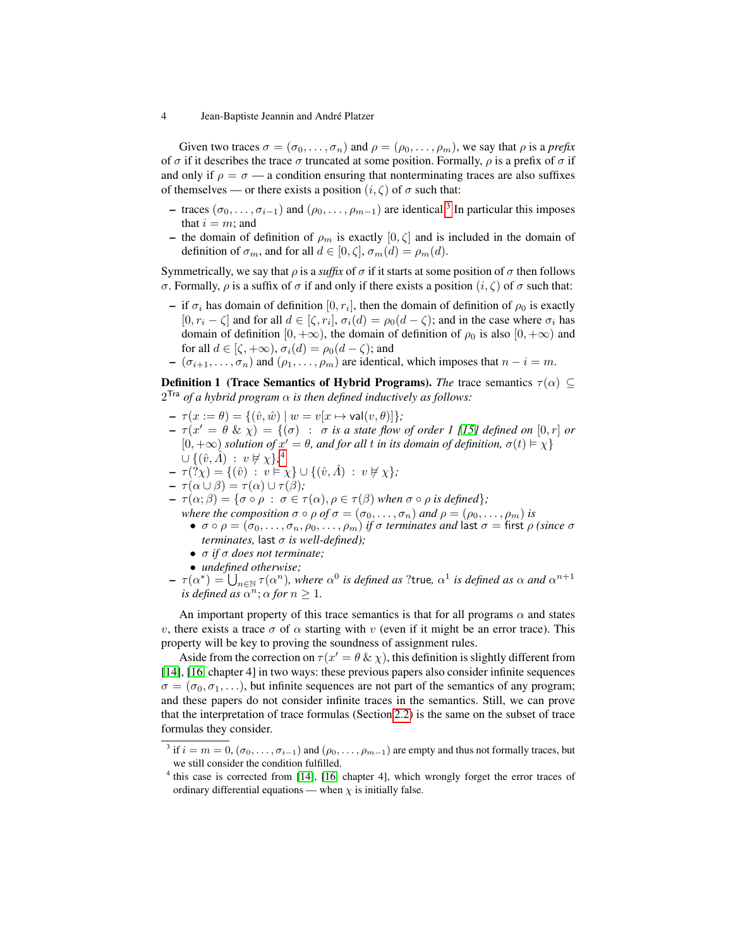Given two traces  $\sigma = (\sigma_0, \ldots, \sigma_n)$  and  $\rho = (\rho_0, \ldots, \rho_m)$ , we say that  $\rho$  is a *prefix* of  $\sigma$  if it describes the trace  $\sigma$  truncated at some position. Formally,  $\rho$  is a prefix of  $\sigma$  if and only if  $\rho = \sigma$  — a condition ensuring that nonterminating traces are also suffixes of themselves — or there exists a position  $(i, \zeta)$  of  $\sigma$  such that:

- traces ( $\sigma_0, \ldots, \sigma_{i-1}$ ) and ( $\rho_0, \ldots, \rho_{m-1}$ ) are identical.<sup>[3](#page-3-0)</sup> In particular this imposes that  $i = m$ ; and
- the domain of definition of  $\rho_m$  is exactly  $[0, \zeta]$  and is included in the domain of definition of  $\sigma_m$ , and for all  $d \in [0, \zeta], \sigma_m(d) = \rho_m(d)$ .

Symmetrically, we say that  $\rho$  is a *suffix* of  $\sigma$  if it starts at some position of  $\sigma$  then follows σ. Formally,  $ρ$  is a suffix of  $σ$  if and only if there exists a position  $(i, ζ)$  of  $σ$  such that:

- if  $\sigma_i$  has domain of definition  $[0, r_i]$ , then the domain of definition of  $\rho_0$  is exactly  $[0, r_i - \zeta]$  and for all  $d \in [\zeta, r_i], \sigma_i(d) = \rho_0(d - \zeta)$ ; and in the case where  $\sigma_i$  has domain of definition  $[0, +\infty)$ , the domain of definition of  $\rho_0$  is also  $[0, +\infty)$  and for all  $d \in [\zeta, +\infty)$ ,  $\sigma_i(d) = \rho_0(d - \zeta)$ ; and
- $(\sigma_{i+1}, \ldots, \sigma_n)$  and  $(\rho_1, \ldots, \rho_m)$  are identical, which imposes that  $n i = m$ .

**Definition 1 (Trace Semantics of Hybrid Programs).** *The* trace semantics  $\tau(\alpha) \subseteq$  $2^{Tra}$  *of a hybrid program*  $\alpha$  *is then defined inductively as follows:* 

- $\tau(x := \theta) = \{(\hat{v}, \hat{w}) \mid w = v[x \mapsto \text{val}(v, \theta)]\};\$
- $(-\tau(x' = \theta \& \chi) = \{(\sigma) : \sigma \text{ is a state flow of order 1 [15] defined on } [0, r] \text{ or }$  $(-\tau(x' = \theta \& \chi) = \{(\sigma) : \sigma \text{ is a state flow of order 1 [15] defined on } [0, r] \text{ or }$  $(-\tau(x' = \theta \& \chi) = \{(\sigma) : \sigma \text{ is a state flow of order 1 [15] defined on } [0, r] \text{ or }$  $[0, +\infty)$  *solution of*  $x' = \theta$ *, and for all t in its domain of definition,*  $\sigma(t) \models \chi$ }  $\cup \{(\hat{v}, \hat{A}) : v \not\vdash \chi\}$ <sup>[4](#page-3-1)</sup>
- $\tau(\tilde{?}\chi) = \{(\hat{v}) : v \models \chi\} \cup \{(\hat{v}, \hat{A}) : v \not\models \chi\};\$
- $\tau(\alpha \cup \beta) = \tau(\alpha) \cup \tau(\beta);$
- $\sigma = \tau(\alpha; \beta) = {\sigma \circ \rho : \sigma \in \tau(\alpha), \rho \in \tau(\beta)}$  *when*  $\sigma \circ \rho$  *is defined*}*; where the composition*  $\sigma \circ \rho$  *of*  $\sigma = (\sigma_0, \dots, \sigma_n)$  *and*  $\rho = (\rho_0, \dots, \rho_m)$  *is* 
	- $\sigma \circ \rho = (\sigma_0, \ldots, \sigma_n, \rho_0, \ldots, \rho_m)$  *if*  $\sigma$  *terminates and* last  $\sigma =$  first  $\rho$  *(since*  $\sigma$ ) *terminates,* last σ *is well-defined);*
	- σ *if* σ *does not terminate;*
	- *undefined otherwise;*
- $-\tau(\alpha^*) = \bigcup_{n \in \mathbb{N}} \tau(\alpha^n)$ , where  $\alpha^0$  is defined as ?true,  $\alpha^1$  is defined as  $\alpha$  and  $\alpha^{n+1}$ *is defined as*  $\alpha^n$ ;  $\alpha$  *for*  $n \geq 1$ *.*

An important property of this trace semantics is that for all programs  $\alpha$  and states v, there exists a trace  $\sigma$  of  $\alpha$  starting with v (even if it might be an error trace). This property will be key to proving the soundness of assignment rules.

Aside from the correction on  $\tau(x' = \theta \& \chi)$ , this definition is slightly different from [\[14\]](#page-14-0), [\[16,](#page-14-1) chapter 4] in two ways: these previous papers also consider infinite sequences  $\sigma = (\sigma_0, \sigma_1, \ldots)$ , but infinite sequences are not part of the semantics of any program; and these papers do not consider infinite traces in the semantics. Still, we can prove that the interpretation of trace formulas (Section [2.2\)](#page-4-0) is the same on the subset of trace formulas they consider.

<span id="page-3-0"></span><sup>&</sup>lt;sup>3</sup> if  $i = m = 0, (\sigma_0, \ldots, \sigma_{i-1})$  and  $(\rho_0, \ldots, \rho_{m-1})$  are empty and thus not formally traces, but we still consider the condition fulfilled.

<span id="page-3-1"></span><sup>&</sup>lt;sup>4</sup> this case is corrected from [\[14\]](#page-14-0), [\[16,](#page-14-1) chapter 4], which wrongly forget the error traces of ordinary differential equations — when  $\chi$  is initially false.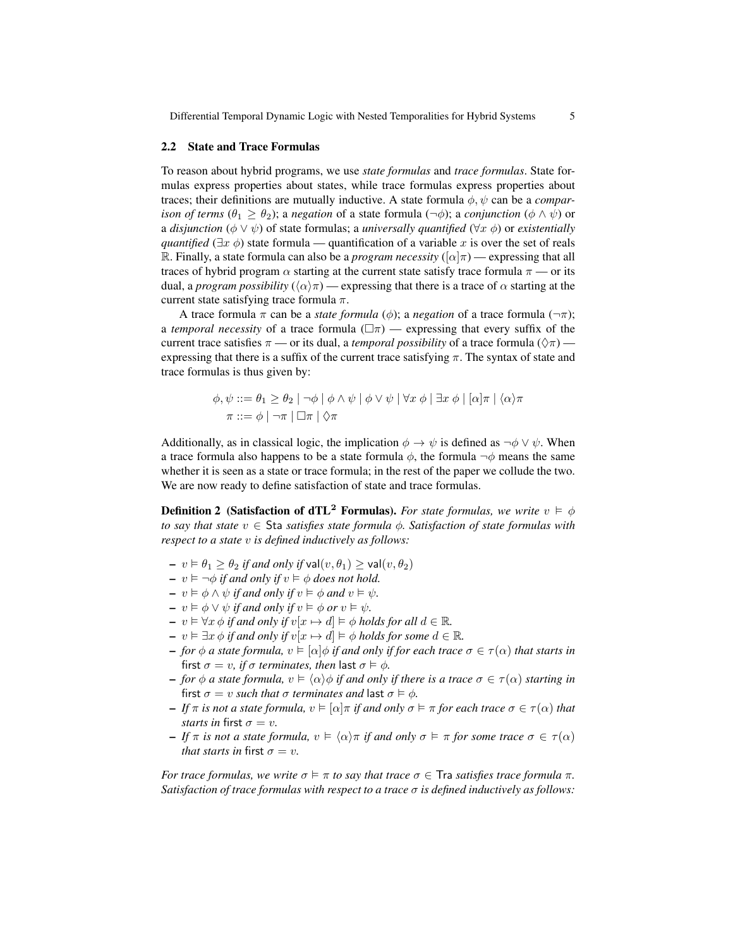### <span id="page-4-0"></span>2.2 State and Trace Formulas

To reason about hybrid programs, we use *state formulas* and *trace formulas*. State formulas express properties about states, while trace formulas express properties about traces; their definitions are mutually inductive. A state formula  $\phi$ ,  $\psi$  can be a *comparison of terms*  $(\theta_1 > \theta_2)$ ; a *negation* of a state formula  $(\neg \phi)$ ; a *conjunction*  $(\phi \land \psi)$  or a *disjunction* (φ ∨ ψ) of state formulas; a *universally quantified* (∀x φ) or *existentially quantified* ( $\exists x \phi$ ) state formula — quantification of a variable x is over the set of reals R. Finally, a state formula can also be a *program necessity*  $([\alpha]\pi)$  — expressing that all traces of hybrid program  $\alpha$  starting at the current state satisfy trace formula  $\pi$  — or its dual, a *program possibility*  $(\langle \alpha \rangle \pi)$  — expressing that there is a trace of  $\alpha$  starting at the current state satisfying trace formula  $\pi$ .

A trace formula  $\pi$  can be a *state formula* ( $\phi$ ); a *negation* of a trace formula ( $\neg \pi$ ); a *temporal necessity* of a trace formula  $(\Box \pi)$  — expressing that every suffix of the current trace satisfies  $\pi$  — or its dual, a *temporal possibility* of a trace formula ( $\Diamond \pi$ ) expressing that there is a suffix of the current trace satisfying  $\pi$ . The syntax of state and trace formulas is thus given by:

$$
\phi, \psi ::= \theta_1 \ge \theta_2 \mid \neg \phi \mid \phi \land \psi \mid \phi \lor \psi \mid \forall x \; \phi \mid \exists x \; \phi \mid [\alpha] \pi \mid \langle \alpha \rangle \pi
$$

$$
\pi ::= \phi \mid \neg \pi \mid \Box \pi \mid \Diamond \pi
$$

Additionally, as in classical logic, the implication  $\phi \to \psi$  is defined as  $\neg \phi \lor \psi$ . When a trace formula also happens to be a state formula  $\phi$ , the formula  $\neg \phi$  means the same whether it is seen as a state or trace formula; in the rest of the paper we collude the two. We are now ready to define satisfaction of state and trace formulas.

<span id="page-4-1"></span>**Definition 2** (Satisfaction of dTL<sup>2</sup> Formulas). *For state formulas, we write*  $v \vDash \phi$ *to say that state* v ∈ Sta *satisfies state formula* φ*. Satisfaction of state formulas with respect to a state* v *is defined inductively as follows:*

- $v = v \vDash \theta_1 \ge \theta_2$  *if and only if* val $(v, \theta_1) \ge \text{val}(v, \theta_2)$
- $v \vDash \neg \phi$  *if and only if*  $v \vDash \phi$  *does not hold.*
- $-v \vDash \phi \land \psi$  *if and only if*  $v \vDash \phi$  *and*  $v \vDash \psi$ *.*
- $-v \vDash \phi \lor \psi$  *if and only if*  $v \vDash \phi$  *or*  $v \vDash \psi$ *.*
- $v \vDash \forall x \, \phi \, \text{if and only if } v[x \mapsto d] \vDash \phi \text{ holds for all } d \in \mathbb{R}.$
- $v \vDash \exists x \, \phi \, \text{if and only if } v[x \mapsto d] \vDash \phi \text{ holds for some } d \in \mathbb{R}.$
- $-$  *for*  $\phi$  *a state formula,*  $v \models [\alpha] \phi$  *if and only if for each trace*  $\sigma \in \tau(\alpha)$  *that starts in* first  $\sigma = v$ *, if*  $\sigma$  *terminates, then* last  $\sigma \models \phi$ *.*
- $-$  *for*  $\phi$  *a state formula,*  $v \vDash \langle \alpha \rangle \phi$  *if and only if there is a trace*  $\sigma \in \tau(\alpha)$  *starting in* first  $\sigma = v$  *such that*  $\sigma$  *terminates and* last  $\sigma \models \phi$ .
- $-If \pi$  *is not a state formula,*  $v \vDash [\alpha] \pi$  *if and only*  $\sigma \vDash \pi$  *for each trace*  $\sigma \in \tau(\alpha)$  *that starts in* first  $\sigma = v$ .
- $-If \pi$  *is not a state formula,*  $v \vDash \langle \alpha \rangle \pi$  *if and only*  $\sigma \vDash \pi$  *for some trace*  $\sigma \in \tau(\alpha)$ *that starts in* first  $\sigma = v$ .

*For trace formulas, we write*  $\sigma \models \pi$  *to say that trace*  $\sigma \in \text{Tra}$  *satisfies trace formula*  $\pi$ *. Satisfaction of trace formulas with respect to a trace* σ *is defined inductively as follows:*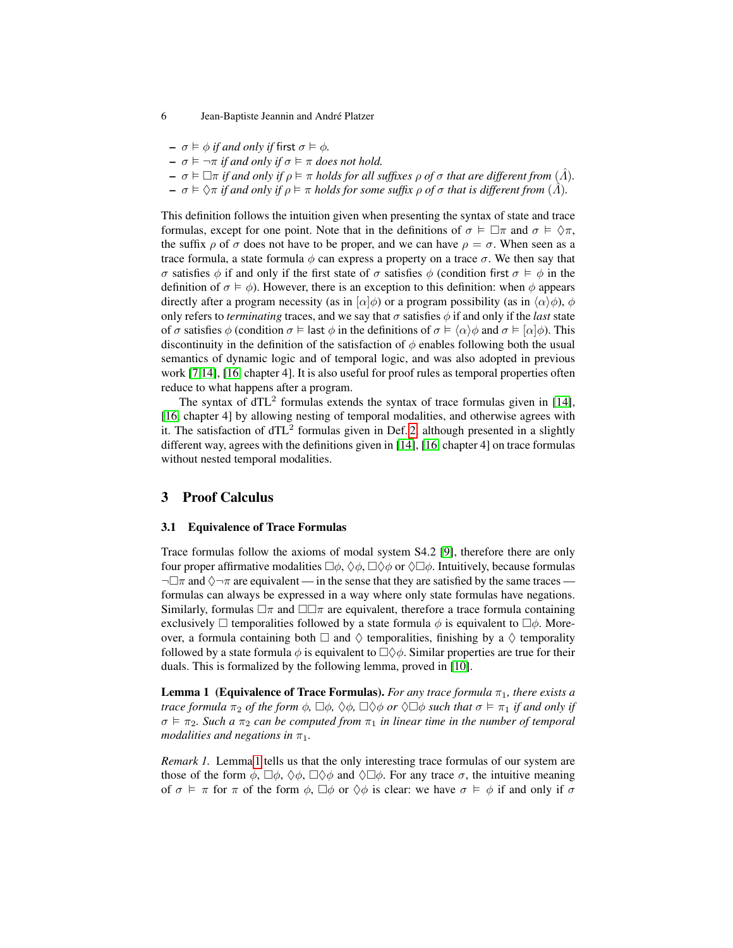$- \sigma \models \phi$  *if and only if first*  $\sigma \models \phi$ .

- $\sigma \models \neg \pi$  *if and only if*  $\sigma \models \pi$  *does not hold.*
- $-\sigma \vDash \Box \pi$  *if and only if*  $\rho \vDash \pi$  *holds for all suffixes*  $\rho$  *of*  $\sigma$  *that are different from*  $(\Lambda)$ *.*
- $-\sigma \models \Diamond \pi$  *if and only if*  $\rho \models \pi$  *holds for some suffix*  $\rho$  *of*  $\sigma$  *that is different from*  $(\hat{\Lambda})$ *.*

This definition follows the intuition given when presenting the syntax of state and trace formulas, except for one point. Note that in the definitions of  $\sigma \models \Box \pi$  and  $\sigma \models \Diamond \pi$ , the suffix  $\rho$  of  $\sigma$  does not have to be proper, and we can have  $\rho = \sigma$ . When seen as a trace formula, a state formula  $\phi$  can express a property on a trace  $\sigma$ . We then say that σ satisfies φ if and only if the first state of σ satisfies φ (condition first  $\sigma \models \phi$  in the definition of  $\sigma \models \phi$ ). However, there is an exception to this definition: when  $\phi$  appears directly after a program necessity (as in  $\alpha|\phi$ ) or a program possibility (as in  $\langle \alpha \rangle \phi$ ),  $\phi$ only refers to *terminating* traces, and we say that  $\sigma$  satisfies  $\phi$  if and only if the *last* state of  $\sigma$  satisfies  $\phi$  (condition  $\sigma \models$  last  $\phi$  in the definitions of  $\sigma \models \langle \alpha \rangle \phi$  and  $\sigma \models [\alpha] \phi$ ). This discontinuity in the definition of the satisfaction of  $\phi$  enables following both the usual semantics of dynamic logic and of temporal logic, and was also adopted in previous work [\[7,](#page-14-5)[14\]](#page-14-0), [\[16,](#page-14-1) chapter 4]. It is also useful for proof rules as temporal properties often reduce to what happens after a program.

The syntax of  $dTL^2$  formulas extends the syntax of trace formulas given in [\[14\]](#page-14-0), [\[16,](#page-14-1) chapter 4] by allowing nesting of temporal modalities, and otherwise agrees with it. The satisfaction of  $dTL^2$  formulas given in Def. [2,](#page-4-1) although presented in a slightly different way, agrees with the definitions given in [\[14\]](#page-14-0), [\[16,](#page-14-1) chapter 4] on trace formulas without nested temporal modalities.

## <span id="page-5-0"></span>3 Proof Calculus

#### 3.1 Equivalence of Trace Formulas

Trace formulas follow the axioms of modal system S4.2 [\[9\]](#page-14-6), therefore there are only four proper affirmative modalities  $\Box \phi$ ,  $\Diamond \phi$ ,  $\Box \Diamond \phi$  or  $\Diamond \Box \phi$ . Intuitively, because formulas  $\neg\Box\pi$  and  $\Diamond\neg\pi$  are equivalent — in the sense that they are satisfied by the same traces formulas can always be expressed in a way where only state formulas have negations. Similarly, formulas  $\Box \pi$  and  $\Box \Box \pi$  are equivalent, therefore a trace formula containing exclusively  $\Box$  temporalities followed by a state formula  $\phi$  is equivalent to  $\Box \phi$ . Moreover, a formula containing both  $\Box$  and  $\Diamond$  temporalities, finishing by a  $\Diamond$  temporality followed by a state formula  $\phi$  is equivalent to  $\Box \Diamond \phi$ . Similar properties are true for their duals. This is formalized by the following lemma, proved in [\[10\]](#page-14-7).

<span id="page-5-1"></span>**Lemma 1 (Equivalence of Trace Formulas).** *For any trace formula*  $\pi_1$ *, there exists a trace formula*  $\pi_2$  *of the form*  $\phi$ ,  $\Box \phi$ ,  $\Diamond \phi$ ,  $\Box \Diamond \phi$  *or*  $\Diamond \Box \phi$  *such that*  $\sigma \models \pi_1$  *if and only if*  $\sigma \models \pi_2$ . Such a  $\pi_2$  can be computed from  $\pi_1$  in linear time in the number of temporal *modalities and negations in*  $\pi_1$ *.* 

<span id="page-5-2"></span>*Remark [1](#page-5-1).* Lemma 1 tells us that the only interesting trace formulas of our system are those of the form  $\phi$ ,  $\Box \phi$ ,  $\Diamond \phi$ ,  $\Box \Diamond \phi$  and  $\Diamond \Box \phi$ . For any trace  $\sigma$ , the intuitive meaning of  $\sigma \models \pi$  for  $\pi$  of the form  $\phi$ ,  $\Box \phi$  or  $\Diamond \phi$  is clear: we have  $\sigma \models \phi$  if and only if  $\sigma$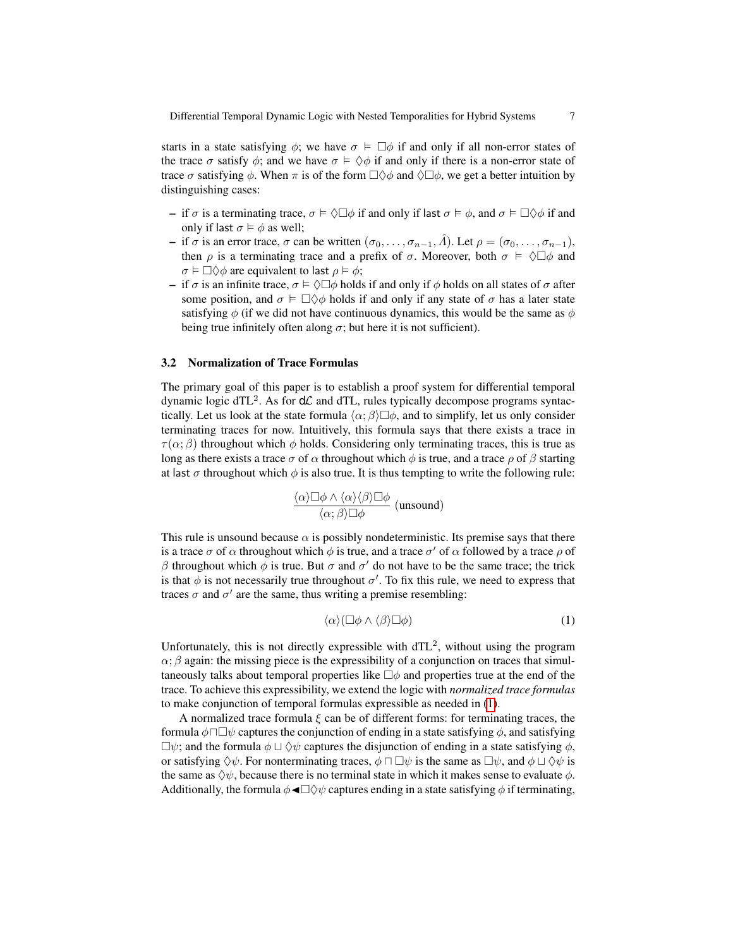starts in a state satisfying  $\phi$ ; we have  $\sigma \models \Box \phi$  if and only if all non-error states of the trace  $\sigma$  satisfy  $\phi$ ; and we have  $\sigma \models \Diamond \phi$  if and only if there is a non-error state of trace  $\sigma$  satisfying  $\phi$ . When  $\pi$  is of the form  $\Box \Diamond \phi$  and  $\Diamond \Box \phi$ , we get a better intuition by distinguishing cases:

- if  $\sigma$  is a terminating trace,  $\sigma \models \Diamond \Box \phi$  if and only if last  $\sigma \models \phi$ , and  $\sigma \models \Box \Diamond \phi$  if and only if last  $\sigma \models \phi$  as well;
- if  $\sigma$  is an error trace,  $\sigma$  can be written  $(\sigma_0, \ldots, \sigma_{n-1}, \hat{\Lambda})$ . Let  $\rho = (\sigma_0, \ldots, \sigma_{n-1})$ , then  $\rho$  is a terminating trace and a prefix of  $\sigma$ . Moreover, both  $\sigma \models \Diamond \Box \phi$  and  $\sigma \models \Box \Diamond \phi$  are equivalent to last  $\rho \models \phi$ ;
- if  $\sigma$  is an infinite trace,  $\sigma \models \Diamond \Box \phi$  holds if and only if  $\phi$  holds on all states of  $\sigma$  after some position, and  $\sigma \models \Box \Diamond \phi$  holds if and only if any state of  $\sigma$  has a later state satisfying  $\phi$  (if we did not have continuous dynamics, this would be the same as  $\phi$ being true infinitely often along  $\sigma$ ; but here it is not sufficient).

## 3.2 Normalization of Trace Formulas

The primary goal of this paper is to establish a proof system for differential temporal dynamic logic dTL<sup>2</sup>. As for  $d\mathcal{L}$  and dTL, rules typically decompose programs syntactically. Let us look at the state formula  $\langle \alpha; \beta \rangle \Box \phi$ , and to simplify, let us only consider terminating traces for now. Intuitively, this formula says that there exists a trace in  $\tau(\alpha;\beta)$  throughout which  $\phi$  holds. Considering only terminating traces, this is true as long as there exists a trace  $\sigma$  of  $\alpha$  throughout which  $\phi$  is true, and a trace  $\rho$  of  $\beta$  starting at last  $\sigma$  throughout which  $\phi$  is also true. It is thus tempting to write the following rule:

$$
\frac{\langle \alpha \rangle \Box \phi \land \langle \alpha \rangle \langle \beta \rangle \Box \phi}{\langle \alpha; \beta \rangle \Box \phi}
$$
 (unsound)

This rule is unsound because  $\alpha$  is possibly nondeterministic. Its premise says that there is a trace  $\sigma$  of  $\alpha$  throughout which  $\phi$  is true, and a trace  $\sigma'$  of  $\alpha$  followed by a trace  $\rho$  of β throughout which  $\phi$  is true. But  $\sigma$  and  $\sigma'$  do not have to be the same trace; the trick is that  $\phi$  is not necessarily true throughout  $\sigma'$ . To fix this rule, we need to express that traces  $\sigma$  and  $\sigma'$  are the same, thus writing a premise resembling:

<span id="page-6-0"></span>
$$
\langle \alpha \rangle (\Box \phi \land \langle \beta \rangle \Box \phi) \tag{1}
$$

Unfortunately, this is not directly expressible with  $dTL^2$ , without using the program  $\alpha$ ;  $\beta$  again: the missing piece is the expressibility of a conjunction on traces that simultaneously talks about temporal properties like  $\Box \phi$  and properties true at the end of the trace. To achieve this expressibility, we extend the logic with *normalized trace formulas* to make conjunction of temporal formulas expressible as needed in [\(1\)](#page-6-0).

A normalized trace formula  $\xi$  can be of different forms: for terminating traces, the formula  $\phi \Box \Box \psi$  captures the conjunction of ending in a state satisfying  $\phi$ , and satisfying  $\Box \psi$ ; and the formula  $\phi \Box \Diamond \psi$  captures the disjunction of ending in a state satisfying  $\phi$ , or satisfying  $\Diamond \psi$ . For nonterminating traces,  $\phi \Box \Box \psi$  is the same as  $\Box \psi$ , and  $\phi \Box \Diamond \psi$  is the same as  $\Diamond \psi$ , because there is no terminal state in which it makes sense to evaluate  $\phi$ . Additionally, the formula  $\phi \triangleleft \Box \Diamond \psi$  captures ending in a state satisfying  $\phi$  if terminating,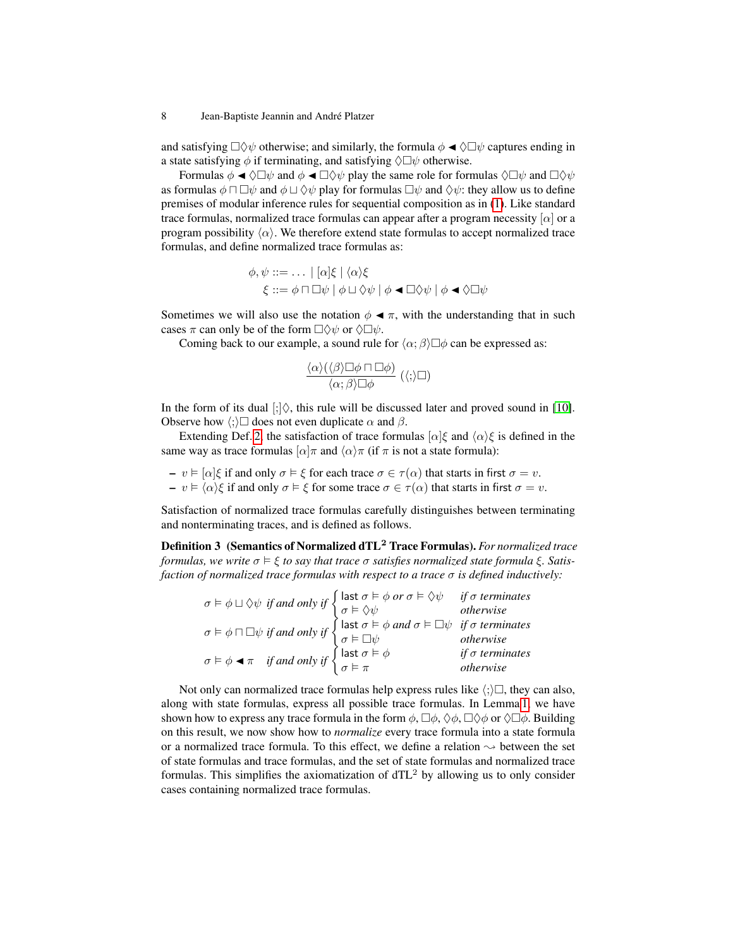and satisfying  $\Box \Diamond \psi$  otherwise; and similarly, the formula  $\phi \blacktriangleleft \Diamond \Box \psi$  captures ending in a state satisfying  $\phi$  if terminating, and satisfying  $\Diamond \Box \psi$  otherwise.

Formulas  $\phi \blacktriangleleft \bigcirc \exists \psi$  and  $\phi \blacktriangleleft \exists \Diamond \psi$  play the same role for formulas  $\Diamond \Box \psi$  and  $\Box \Diamond \psi$ as formulas  $\phi \Box \Box \psi$  and  $\phi \Box \Diamond \psi$  play for formulas  $\Box \psi$  and  $\Diamond \psi$ : they allow us to define premises of modular inference rules for sequential composition as in [\(1\)](#page-6-0). Like standard trace formulas, normalized trace formulas can appear after a program necessity  $[\alpha]$  or a program possibility  $\langle \alpha \rangle$ . We therefore extend state formulas to accept normalized trace formulas, and define normalized trace formulas as:

$$
\begin{aligned}\n\phi, \psi &::= \dots \mid [\alpha] \xi \mid \langle \alpha \rangle \xi \\
\xi &::= \phi \sqcap \Box \psi \mid \phi \sqcup \Diamond \psi \mid \phi \blacktriangleleft \Box \Diamond \psi \mid \phi \blacktriangleleft \Diamond \Box \psi\n\end{aligned}
$$

Sometimes we will also use the notation  $\phi \blacktriangleleft \pi$ , with the understanding that in such cases  $\pi$  can only be of the form  $\Box \Diamond \psi$  or  $\Diamond \Box \psi$ .

Coming back to our example, a sound rule for  $\langle \alpha; \beta \rangle \Box \phi$  can be expressed as:

<span id="page-7-0"></span>
$$
\frac{\langle \alpha \rangle (\langle \beta \rangle \Box \phi \sqcap \Box \phi)}{\langle \alpha; \beta \rangle \Box \phi} (\langle ; \rangle \Box)
$$

In the form of its dual  $[$ ; $]$  $\Diamond$ , this rule will be discussed later and proved sound in [\[10\]](#page-14-7). Observe how  $\langle \cdot \rangle$  does not even duplicate  $\alpha$  and  $\beta$ .

Extending Def. [2,](#page-4-1) the satisfaction of trace formulas  $\alpha \xi$  and  $\langle \alpha \rangle \xi$  is defined in the same way as trace formulas  $\alpha | \pi$  and  $\langle \alpha \rangle \pi$  (if  $\pi$  is not a state formula):

- $v \vDash [\alpha] \xi$  if and only  $\sigma \vDash \xi$  for each trace  $\sigma \in \tau(\alpha)$  that starts in first  $\sigma = v$ .  $- v \vDash \langle \alpha \rangle \xi$  if and only  $\sigma \vDash \xi$  for some trace  $\sigma \in \tau(\alpha)$  that starts in first  $\sigma = v$ .
- 

Satisfaction of normalized trace formulas carefully distinguishes between terminating and nonterminating traces, and is defined as follows.

Definition 3 (Semantics of Normalized dTL<sup>2</sup> Trace Formulas). *For normalized trace formulas, we write* σ ξ *to say that trace* σ *satisfies normalized state formula* ξ*. Satisfaction of normalized trace formulas with respect to a trace* σ *is defined inductively:*

|  | $\sigma \vDash \phi \sqcup \Diamond \psi$ if and only if $\begin{cases} \text{last } \sigma \vDash \phi \text{ or } \sigma \vDash \Diamond \psi & \text{if } \sigma \text{ terminates} \\ \sigma \vDash \Diamond \psi & \text{otherwise} \end{cases}$<br>$\sigma \vDash \phi \sqcap \Box \psi$ if and only if $\begin{cases} \text{last } \sigma \vDash \Diamond \psi & \text{otherwise} \\ \text{last } \sigma \vDash \phi \text{ and } \sigma \vDash \Box \psi & \text{otherwise} \end{cases}$<br>$\sigma \vDash \phi \blacktriangleleft \pi$ if an |  |
|--|-------------------------------------------------------------------------------------------------------------------------------------------------------------------------------------------------------------------------------------------------------------------------------------------------------------------------------------------------------------------------------------------------------------------------------------------------------------------------------------------------------------------------------------------------------|--|

Not only can normalized trace formulas help express rules like  $\langle \cdot \rangle$ . they can also, along with state formulas, express all possible trace formulas. In Lemma [1,](#page-5-1) we have shown how to express any trace formula in the form  $\phi$ ,  $\Box \phi$ ,  $\Diamond \phi$ ,  $\Box \Diamond \phi$  or  $\Diamond \Box \phi$ . Building on this result, we now show how to *normalize* every trace formula into a state formula or a normalized trace formula. To this effect, we define a relation  $\sim$  between the set of state formulas and trace formulas, and the set of state formulas and normalized trace formulas. This simplifies the axiomatization of  $dTL^2$  by allowing us to only consider cases containing normalized trace formulas.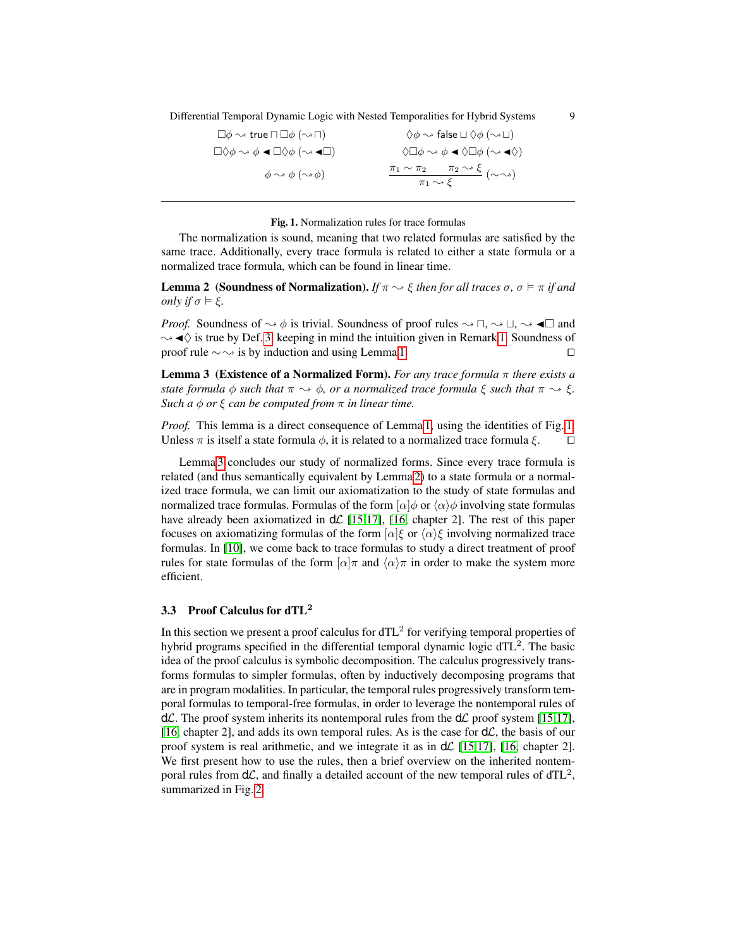Differential Temporal Dynamic Logic with Nested Temporalities for Hybrid Systems 9

| $\Box \phi \leadsto$ true $\Box \Box \phi (\leadsto \Box)$                                                    | $\Diamond \phi \leadsto \mathsf{false} \sqcup \Diamond \phi \ (\leadsto \sqcup)$                                  |  |  |
|---------------------------------------------------------------------------------------------------------------|-------------------------------------------------------------------------------------------------------------------|--|--|
| $\Box \Diamond \phi \leadsto \phi \blacktriangleleft \Box \Diamond \phi \ (\leadsto \blacktriangleleft \Box)$ | $\Diamond \Box \phi \leadsto \phi \blacktriangleleft \Diamond \Box \phi \ (\leadsto \blacktriangleleft \Diamond)$ |  |  |
| $\phi \rightsquigarrow \phi (\rightsquigarrow \phi)$                                                          | $\frac{\pi_1 \sim \pi_2 \quad \pi_2 \sim \xi}{\pi_1 \sim \xi} (\sim \sim)$                                        |  |  |

#### <span id="page-8-0"></span>Fig. 1. Normalization rules for trace formulas

The normalization is sound, meaning that two related formulas are satisfied by the same trace. Additionally, every trace formula is related to either a state formula or a normalized trace formula, which can be found in linear time.

**Lemma 2 (Soundness of Normalization).** *If*  $\pi \sim \xi$  *then for all traces*  $\sigma$ ,  $\sigma \models \pi$  *if and only if*  $\sigma \models \xi$ *.* 

*Proof.* Soundness of  $\sim \phi$  is trivial. Soundness of proof rules  $\sim \Box$ ,  $\sim \bot$ ,  $\sim \blacksquare$  and  $\sim \blacktriangleleft \setminus$  is true by Def. [3,](#page-7-0) keeping in mind the intuition given in Remark [1.](#page-5-2) Soundness of proof rule  $\sim \sim$  is by induction and using Lemma 1. proof rule  $\sim \sim$  is by induction and using Lemma [1.](#page-5-1)

<span id="page-8-1"></span>Lemma 3 (Existence of a Normalized Form). *For any trace formula* π *there exists a state formula*  $\phi$  *such that*  $\pi \leadsto \phi$ *, or a normalized trace formula*  $\xi$  *such that*  $\pi \leadsto \xi$ *. Such a*  $\phi$  *or*  $\xi$  *can be computed from*  $\pi$  *in linear time.* 

*Proof.* This lemma is a direct consequence of Lemma [1,](#page-5-1) using the identities of Fig. [1.](#page-8-0) Unless  $\pi$  is itself a state formula  $\phi$ , it is related to a normalized trace formula  $\xi$ .

Lemma [3](#page-8-1) concludes our study of normalized forms. Since every trace formula is related (and thus semantically equivalent by Lemma [2\)](#page-8-2) to a state formula or a normalized trace formula, we can limit our axiomatization to the study of state formulas and normalized trace formulas. Formulas of the form  $\alpha | \phi$  or  $\langle \alpha \rangle \phi$  involving state formulas have already been axiomatized in  $d\mathcal{L}$  [\[15,](#page-14-2)[17\]](#page-14-3), [\[16,](#page-14-1) chapter 2]. The rest of this paper focuses on axiomatizing formulas of the form  $\alpha \xi$  or  $\langle \alpha \rangle \xi$  involving normalized trace formulas. In [\[10\]](#page-14-7), we come back to trace formulas to study a direct treatment of proof rules for state formulas of the form  $\lbrack \alpha \rbrack \pi$  and  $\langle \alpha \rangle \pi$  in order to make the system more efficient.

## 3.3 Proof Calculus for dTL<sup>2</sup>

In this section we present a proof calculus for  $dTL^2$  for verifying temporal properties of hybrid programs specified in the differential temporal dynamic logic  $dTL^2$ . The basic idea of the proof calculus is symbolic decomposition. The calculus progressively transforms formulas to simpler formulas, often by inductively decomposing programs that are in program modalities. In particular, the temporal rules progressively transform temporal formulas to temporal-free formulas, in order to leverage the nontemporal rules of  $d\mathcal{L}$ . The proof system inherits its nontemporal rules from the  $d\mathcal{L}$  proof system [\[15](#page-14-2)[,17\]](#page-14-3), [\[16,](#page-14-1) chapter 2], and adds its own temporal rules. As is the case for  $d\mathcal{L}$ , the basis of our proof system is real arithmetic, and we integrate it as in  $d\mathcal{L}$  [\[15](#page-14-2)[,17\]](#page-14-3), [\[16,](#page-14-1) chapter 2]. We first present how to use the rules, then a brief overview on the inherited nontemporal rules from  $d\mathcal{L}$ , and finally a detailed account of the new temporal rules of  $dTL^2$ , summarized in Fig. [2.](#page-10-0)

<span id="page-8-2"></span>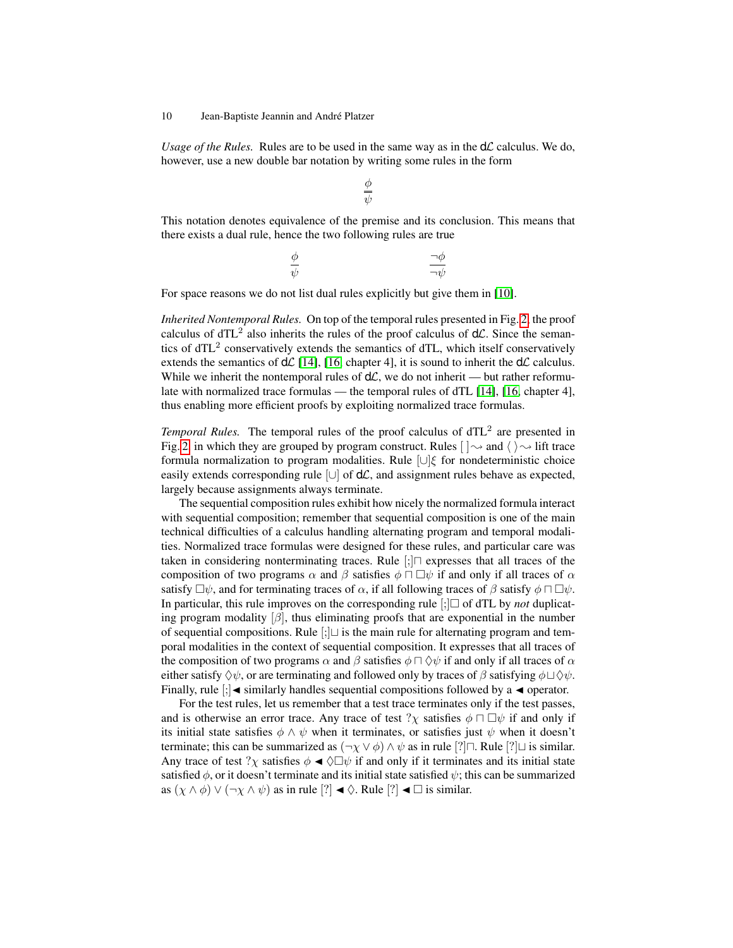*Usage of the Rules.* Rules are to be used in the same way as in the  $d\mathcal{L}$  calculus. We do, however, use a new double bar notation by writing some rules in the form

> φ ψ

This notation denotes equivalence of the premise and its conclusion. This means that there exists a dual rule, hence the two following rules are true

| $\phi$                             | $\neg \phi$ |
|------------------------------------|-------------|
| $\overline{\phantom{0}}$<br>$\psi$ | $\neg \psi$ |

For space reasons we do not list dual rules explicitly but give them in [\[10\]](#page-14-7).

*Inherited Nontemporal Rules.* On top of the temporal rules presented in Fig. [2,](#page-10-0) the proof calculus of  $dTL^2$  also inherits the rules of the proof calculus of  $d\mathcal{L}$ . Since the semantics of dTL<sup>2</sup> conservatively extends the semantics of dTL, which itself conservatively extends the semantics of  $d\mathcal{L}$  [\[14\]](#page-14-0), [\[16,](#page-14-1) chapter 4], it is sound to inherit the  $d\mathcal{L}$  calculus. While we inherit the nontemporal rules of  $d\mathcal{L}$ , we do not inherit — but rather reformulate with normalized trace formulas — the temporal rules of dTL [\[14\]](#page-14-0), [\[16,](#page-14-1) chapter 4], thus enabling more efficient proofs by exploiting normalized trace formulas.

*Temporal Rules.* The temporal rules of the proof calculus of  $dTL^2$  are presented in Fig. [2,](#page-10-0) in which they are grouped by program construct. Rules  $\Box \rightsquigarrow$  and  $\Diamond \rightsquigarrow$  lift trace formula normalization to program modalities. Rule  $[\cup]\xi$  for nondeterministic choice easily extends corresponding rule  $[\cup]$  of  $d\mathcal{L}$ , and assignment rules behave as expected, largely because assignments always terminate.

The sequential composition rules exhibit how nicely the normalized formula interact with sequential composition; remember that sequential composition is one of the main technical difficulties of a calculus handling alternating program and temporal modalities. Normalized trace formulas were designed for these rules, and particular care was taken in considering nonterminating traces. Rule  $[\cdot]$  expresses that all traces of the composition of two programs  $\alpha$  and  $\beta$  satisfies  $\phi \sqcap \Box \psi$  if and only if all traces of  $\alpha$ satisfy  $\Box \psi$ , and for terminating traces of  $\alpha$ , if all following traces of  $\beta$  satisfy  $\phi \Box \Box \psi$ . In particular, this rule improves on the corresponding rule  $[$ ; $]$  of dTL by *not* duplicating program modality  $[\beta]$ , thus eliminating proofs that are exponential in the number of sequential compositions. Rule  $[$ ;  $\Box$  is the main rule for alternating program and temporal modalities in the context of sequential composition. It expresses that all traces of the composition of two programs  $\alpha$  and  $\beta$  satisfies  $\phi \sqcap \Diamond \psi$  if and only if all traces of  $\alpha$ either satisfy  $\Diamond \psi$ , or are terminating and followed only by traces of  $\beta$  satisfying  $\phi \Box \Diamond \psi$ . Finally, rule  $|\cdot|$  similarly handles sequential compositions followed by a  $\triangleleft$  operator.

For the test rules, let us remember that a test trace terminates only if the test passes, and is otherwise an error trace. Any trace of test ? $\chi$  satisfies  $\phi \sqcap \Box \psi$  if and only if its initial state satisfies  $\phi \wedge \psi$  when it terminates, or satisfies just  $\psi$  when it doesn't terminate; this can be summarized as  $(\neg \chi \lor \phi) \land \psi$  as in rule  $[? \Box$ . Rule  $[? \Box$  is similar. Any trace of test ? x satisfies  $\phi \blacktriangleleft \Diamond \Box \psi$  if and only if it terminates and its initial state satisfied  $\phi$ , or it doesn't terminate and its initial state satisfied  $\psi$ ; this can be summarized as  $(\chi \wedge \phi) \vee (\neg \chi \wedge \psi)$  as in rule  $[?] \blacktriangleleft \Diamond$ . Rule  $[?] \blacktriangleleft \Box$  is similar.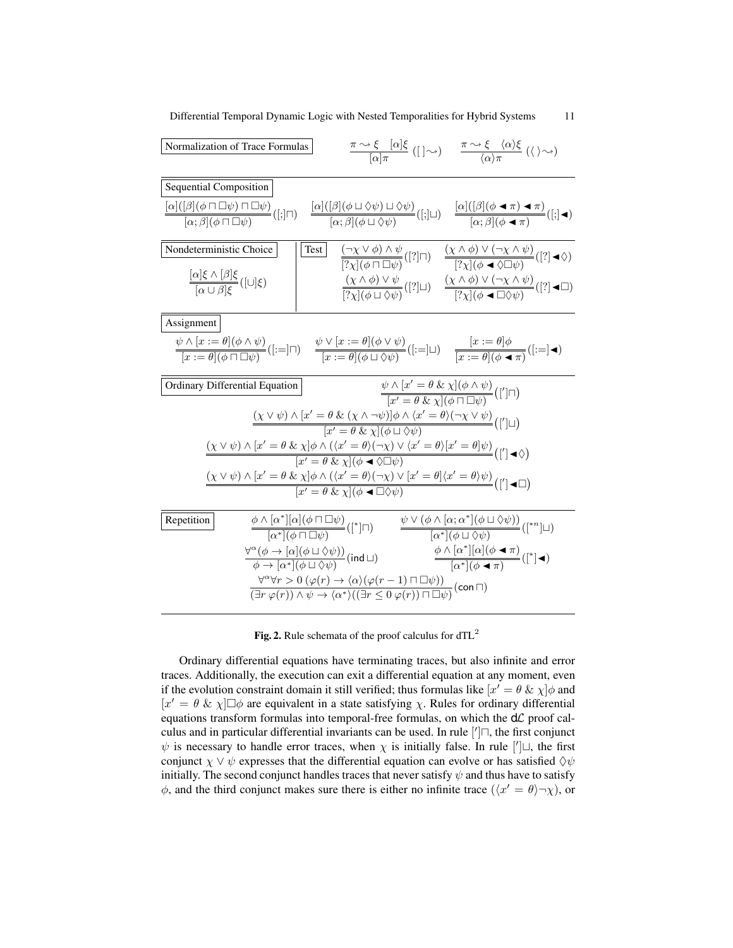| Normalization of Trace Formulas                                                                                                                                                                                                                                     |                                                                                                                                                     | $\frac{\pi \rightsquigarrow \xi \quad  \alpha  \xi}{\lceil \alpha \rceil \pi} ((\lceil \alpha \rangle) \qquad \frac{\pi \rightsquigarrow \xi \quad \langle \alpha \rangle \xi}{\langle \alpha \rangle \pi} (\langle \rangle \rightsquigarrow)$                                                                                                                                                                                                                                          |                                                                                                                                         |  |  |  |
|---------------------------------------------------------------------------------------------------------------------------------------------------------------------------------------------------------------------------------------------------------------------|-----------------------------------------------------------------------------------------------------------------------------------------------------|-----------------------------------------------------------------------------------------------------------------------------------------------------------------------------------------------------------------------------------------------------------------------------------------------------------------------------------------------------------------------------------------------------------------------------------------------------------------------------------------|-----------------------------------------------------------------------------------------------------------------------------------------|--|--|--|
| Sequential Composition                                                                                                                                                                                                                                              |                                                                                                                                                     |                                                                                                                                                                                                                                                                                                                                                                                                                                                                                         |                                                                                                                                         |  |  |  |
|                                                                                                                                                                                                                                                                     |                                                                                                                                                     | $\frac{[\alpha]([\beta](\phi\sqcap \Box\psi)\sqcap \Box\psi)}{[\alpha;\beta](\phi\sqcap \Box\psi)}([;]\sqcap) \quad \frac{[\alpha]([\beta](\phi\sqcup\Diamond\psi)\sqcup\Diamond\psi)}{[\alpha;\beta](\phi\sqcup\Diamond\psi)}([;]\sqcup) \quad \frac{[\alpha]([\beta](\phi\blacktriangleleft\pi)\blacktriangleleft\pi)}{[\alpha;\beta](\phi\blacktriangleleft\pi)}([;]\blacktriangleleft)$                                                                                             |                                                                                                                                         |  |  |  |
| Nondeterministic Choice<br>$\frac{\left[\alpha\right]\xi\wedge\left[\beta\right]\xi}{\left[\alpha\cup\beta\right]\xi}(\left[\cup\right]\xi)$                                                                                                                        | Test                                                                                                                                                | $\frac{(\neg \chi \lor \phi) \land \psi}{[\gamma \lor (\phi \cap \Box \psi)]} ([?] \cap) \quad \frac{(\chi \land \phi) \lor (\neg \chi \land \psi)}{[\gamma \lor (\phi \blacktriangleleft \Diamond \Box \psi)]} ([?] \blacktriangleleft \Diamond)$<br>$\frac{(\chi \wedge \phi) \vee \psi}{[? \chi](\phi \sqcup \Diamond \psi)}([?] \sqcup) \quad \frac{(\chi \wedge \phi) \vee (\neg \chi \wedge \psi)}{[? \chi](\phi \triangleleft \Box \Diamond \psi)}([?] \blacktriangleleft \Box)$ |                                                                                                                                         |  |  |  |
| Assignment                                                                                                                                                                                                                                                          |                                                                                                                                                     |                                                                                                                                                                                                                                                                                                                                                                                                                                                                                         |                                                                                                                                         |  |  |  |
|                                                                                                                                                                                                                                                                     |                                                                                                                                                     | $\frac{\psi \wedge [x := \theta](\phi \wedge \psi)}{[x := \theta](\phi \sqcap \Box \psi)} ([:=]\sqcap) \quad \frac{\psi \vee [x := \theta](\phi \vee \psi)}{[x := \theta](\phi \sqcup \Diamond \psi)} ([:=]\sqcup) \quad \frac{[x := \theta]\phi}{[x := \theta](\phi \blacktriangleleft \pi)} ([:=]\blacktriangleleft)$                                                                                                                                                                 |                                                                                                                                         |  |  |  |
| Ordinary Differential Equation                                                                                                                                                                                                                                      |                                                                                                                                                     |                                                                                                                                                                                                                                                                                                                                                                                                                                                                                         | $\frac{\psi \wedge [x' = \theta \& \chi](\phi \wedge \psi)}{[\psi' = \theta \& \chi](\phi \sqcap \Box \psi)} ([\Box \Box$               |  |  |  |
| $\frac{(\chi \vee \psi) \wedge [x' = \theta \& (\chi \wedge \neg \psi)] \phi \wedge \langle x' = \theta \rangle (\neg \chi \vee \psi)}{[x' = \theta \& \chi](\phi \sqcup \Diamond \psi)} (['] \sqcup)$                                                              |                                                                                                                                                     |                                                                                                                                                                                                                                                                                                                                                                                                                                                                                         |                                                                                                                                         |  |  |  |
| $\frac{(\chi \vee \psi) \wedge [x' = \theta \& \chi] \phi \wedge ((x' = \theta) (\neg \chi) \vee (x' = \theta) [x' = \theta] \psi)}{ x' = \theta \& \chi  (\phi \triangleleft \Diamond \Box \psi)} ( f' \triangleleft \Diamond)$                                    |                                                                                                                                                     |                                                                                                                                                                                                                                                                                                                                                                                                                                                                                         |                                                                                                                                         |  |  |  |
| $\frac{(\chi \vee \psi) \wedge [x' = \theta \& \chi] \phi \wedge (\langle x' = \theta \rangle (\neg \chi) \vee [x' = \theta] \langle x' = \theta \rangle \psi)}{[x' = \theta \& \chi] (\phi \blacktriangleleft \Box \Diamond \psi)} (['] \blacktriangleleft \Box )$ |                                                                                                                                                     |                                                                                                                                                                                                                                                                                                                                                                                                                                                                                         |                                                                                                                                         |  |  |  |
|                                                                                                                                                                                                                                                                     |                                                                                                                                                     |                                                                                                                                                                                                                                                                                                                                                                                                                                                                                         |                                                                                                                                         |  |  |  |
| Repetition                                                                                                                                                                                                                                                          | $\frac{\phi \wedge [\alpha^*][\alpha](\phi \sqcap \Box \psi)}{[\alpha^*](\phi \sqcap \Box \psi)}([\ast]\sqcap)$                                     |                                                                                                                                                                                                                                                                                                                                                                                                                                                                                         | $\frac{\psi \vee (\phi \wedge [\alpha; \alpha^*](\phi \sqcup \Diamond \psi))}{[\alpha^*](\phi \sqcup \Diamond \psi)}([{}^{*n}] \sqcup)$ |  |  |  |
|                                                                                                                                                                                                                                                                     | $\frac{\forall^{\alpha}(\phi\rightarrow[\alpha](\phi\sqcup\Diamond\psi))}{\phi\rightarrow[\alpha^{*}](\phi\sqcup\Diamond\psi)}(\mathsf{ind}\sqcup)$ | $\frac{\forall^{\alpha}\forall r>0\ (\varphi(r)\to\langle\alpha\rangle(\varphi(r-1)\sqcap\Box\psi))}{(\exists r\ \varphi(r))\land\psi\to\langle\alpha^*\rangle((\exists r<0\ \varphi(r))\sqcap\Box\psi)}(\mathsf{con}\sqcap)$                                                                                                                                                                                                                                                           | $\frac{\phi \wedge [\alpha^*][\alpha](\phi \triangleleft \pi)}{[\alpha^*](\phi \triangleleft \pi)}([*)$                                 |  |  |  |
|                                                                                                                                                                                                                                                                     |                                                                                                                                                     |                                                                                                                                                                                                                                                                                                                                                                                                                                                                                         |                                                                                                                                         |  |  |  |

<span id="page-10-0"></span>Fig. 2. Rule schemata of the proof calculus for  $dTL^2$ 

Ordinary differential equations have terminating traces, but also infinite and error traces. Additionally, the execution can exit a differential equation at any moment, even if the evolution constraint domain it still verified; thus formulas like  $[x' = \theta \& \chi]\phi$  and  $[x' = \theta \& \chi] \Box \phi$  are equivalent in a state satisfying  $\chi$ . Rules for ordinary differential equations transform formulas into temporal-free formulas, on which the  $d\mathcal{L}$  proof calculus and in particular differential invariants can be used. In rule  $[1] \cap$ , the first conjunct  $\psi$  is necessary to handle error traces, when  $\chi$  is initially false. In rule ['] $\Box$ , the first conjunct  $\chi \lor \psi$  expresses that the differential equation can evolve or has satisfied  $\diamond \psi$ initially. The second conjunct handles traces that never satisfy  $\psi$  and thus have to satisfy  $\phi$ , and the third conjunct makes sure there is either no infinite trace  $(\langle x' = \theta \rangle \neg \chi)$ , or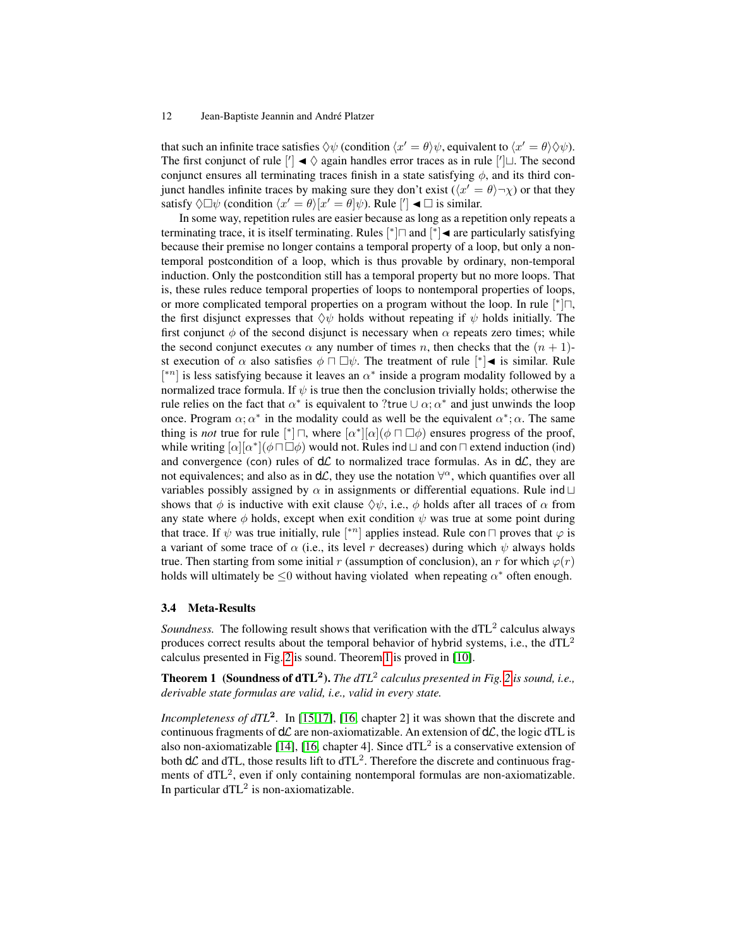that such an infinite trace satisfies  $\Diamond \psi$  (condition  $\langle x' = \theta \rangle \psi$ , equivalent to  $\langle x' = \theta \rangle \Diamond \psi$ ). The first conjunct of rule  $[1] \blacktriangleleft \lozenge$  again handles error traces as in rule  $[1] \square$ . The second conjunct ensures all terminating traces finish in a state satisfying  $\phi$ , and its third conjunct handles infinite traces by making sure they don't exist  $(\langle x' = \theta \rangle \neg \chi)$  or that they satisfy  $\Diamond \Box \psi$  (condition  $\langle x' = \theta \rangle [x' = \theta] \psi$ ). Rule [']  $\blacktriangleleft \Box$  is similar.

In some way, repetition rules are easier because as long as a repetition only repeats a terminating trace, it is itself terminating. Rules  $[{}^*] \sqcap$  and  $[{}^*] \blacktriangleleft$  are particularly satisfying because their premise no longer contains a temporal property of a loop, but only a nontemporal postcondition of a loop, which is thus provable by ordinary, non-temporal induction. Only the postcondition still has a temporal property but no more loops. That is, these rules reduce temporal properties of loops to nontemporal properties of loops, or more complicated temporal properties on a program without the loop. In rule  $[{}^*] \square$ , the first disjunct expresses that  $\Diamond \psi$  holds without repeating if  $\psi$  holds initially. The first conjunct  $\phi$  of the second disjunct is necessary when  $\alpha$  repeats zero times; while the second conjunct executes  $\alpha$  any number of times n, then checks that the  $(n + 1)$ st execution of  $\alpha$  also satisfies  $\phi \sqcap \Box \psi$ . The treatment of rule  $[\ast] \blacktriangleleft$  is similar. Rule  $[∗<sup>n</sup>]$  is less satisfying because it leaves an  $\alpha$ <sup>∗</sup> inside a program modality followed by a normalized trace formula. If  $\psi$  is true then the conclusion trivially holds; otherwise the rule relies on the fact that  $\alpha^*$  is equivalent to ?true  $\cup \alpha$ ;  $\alpha^*$  and just unwinds the loop once. Program  $\alpha$ ;  $\alpha^*$  in the modality could as well be the equivalent  $\alpha^*$ ;  $\alpha$ . The same thing is *not* true for rule  $[{}^*] \sqcap$ , where  $[\alpha^*] [\alpha] (\phi \sqcap \Box \phi)$  ensures progress of the proof, while writing  $\left[\alpha\right]\left[\alpha^*\right](\phi \cap \Box \phi)$  would not. Rules ind  $\Box$  and con  $\Box$  extend induction (ind) and convergence (con) rules of  $d\mathcal{L}$  to normalized trace formulas. As in  $d\mathcal{L}$ , they are not equivalences; and also as in  $d\mathcal{L}$ , they use the notation  $\forall^{\alpha}$ , which quantifies over all variables possibly assigned by  $\alpha$  in assignments or differential equations. Rule ind  $\Box$ shows that  $\phi$  is inductive with exit clause  $\Diamond \psi$ , i.e.,  $\phi$  holds after all traces of  $\alpha$  from any state where  $\phi$  holds, except when exit condition  $\psi$  was true at some point during that trace. If  $\psi$  was true initially, rule  $\left[\ast n\right]$  applies instead. Rule con  $\Box$  proves that  $\varphi$  is a variant of some trace of  $\alpha$  (i.e., its level r decreases) during which  $\psi$  always holds true. Then starting from some initial r (assumption of conclusion), an r for which  $\varphi(r)$ holds will ultimately be  $\leq 0$  without having violated when repeating  $\alpha^*$  often enough.

#### 3.4 Meta-Results

Soundness. The following result shows that verification with the  $dTL^2$  calculus always produces correct results about the temporal behavior of hybrid systems, i.e., the  $dTL<sup>2</sup>$ calculus presented in Fig. [2](#page-10-0) is sound. Theorem [1](#page-11-0) is proved in [\[10\]](#page-14-7).

<span id="page-11-0"></span>Theorem 1 (Soundness of dTL<sup>2</sup> ). *The dTL*<sup>2</sup> *calculus presented in Fig. [2](#page-10-0) is sound, i.e., derivable state formulas are valid, i.e., valid in every state.*

*Incompleteness of dTL*<sup>2</sup>. In [\[15,](#page-14-2)[17\]](#page-14-3), [\[16,](#page-14-1) chapter 2] it was shown that the discrete and continuous fragments of  $d\mathcal{L}$  are non-axiomatizable. An extension of  $d\mathcal{L}$ , the logic dTL is also non-axiomatizable [\[14\]](#page-14-0), [\[16,](#page-14-1) chapter 4]. Since  $dTL^2$  is a conservative extension of both  $d\mathcal{L}$  and dTL, those results lift to dTL<sup>2</sup>. Therefore the discrete and continuous fragments of  $dTL^2$ , even if only containing nontemporal formulas are non-axiomatizable. In particular  $dTL^2$  is non-axiomatizable.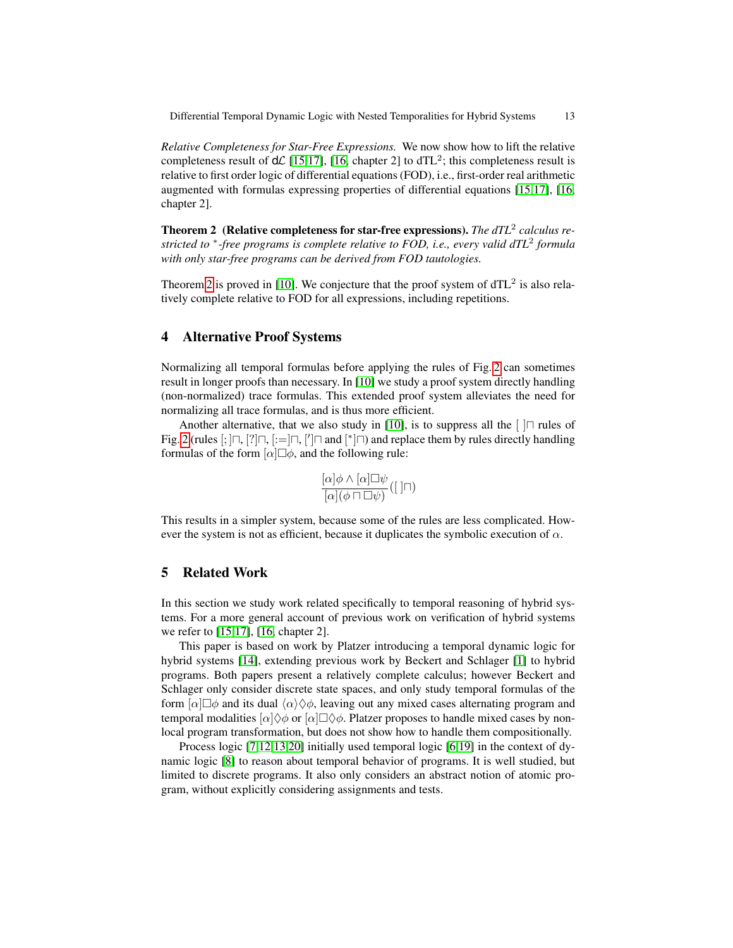*Relative Completeness for Star-Free Expressions.* We now show how to lift the relative completeness result of  $d\mathcal{L}$  [\[15](#page-14-2)[,17\]](#page-14-3), [\[16,](#page-14-1) chapter 2] to  $dTL^2$ ; this completeness result is relative to first order logic of differential equations (FOD), i.e., first-order real arithmetic augmented with formulas expressing properties of differential equations [\[15](#page-14-2)[,17\]](#page-14-3), [\[16,](#page-14-1) chapter 2].

<span id="page-12-2"></span>Theorem 2 (Relative completeness for star-free expressions). *The dTL*<sup>2</sup> *calculus restricted to* <sup>∗</sup> *-free programs is complete relative to FOD, i.e., every valid dTL*<sup>2</sup> *formula with only star-free programs can be derived from FOD tautologies.*

Theorem [2](#page-12-2) is proved in [\[10\]](#page-14-7). We conjecture that the proof system of  $dTL^2$  is also relatively complete relative to FOD for all expressions, including repetitions.

## <span id="page-12-0"></span>4 Alternative Proof Systems

Normalizing all temporal formulas before applying the rules of Fig. [2](#page-10-0) can sometimes result in longer proofs than necessary. In [\[10\]](#page-14-7) we study a proof system directly handling (non-normalized) trace formulas. This extended proof system alleviates the need for normalizing all trace formulas, and is thus more efficient.

Another alternative, that we also study in [\[10\]](#page-14-7), is to suppress all the  $[ \ ] \cap$  rules of Fig. [2](#page-10-0) (rules  $[:] \sqcap, [?] \sqcap, [:=] \sqcap, ['] \sqcap$  and  $[*] \sqcap$ ) and replace them by rules directly handling formulas of the form  $\lbrack \alpha \rbrack \square \phi$ , and the following rule:

$$
\frac{[\alpha]\phi\land[\alpha]\Box\psi}{[\alpha](\phi\sqcap\Box\psi)}([\ ]\sqcap)
$$

This results in a simpler system, because some of the rules are less complicated. However the system is not as efficient, because it duplicates the symbolic execution of  $\alpha$ .

# <span id="page-12-1"></span>5 Related Work

In this section we study work related specifically to temporal reasoning of hybrid systems. For a more general account of previous work on verification of hybrid systems we refer to [\[15,](#page-14-2)[17\]](#page-14-3), [\[16,](#page-14-1) chapter 2].

This paper is based on work by Platzer introducing a temporal dynamic logic for hybrid systems [\[14\]](#page-14-0), extending previous work by Beckert and Schlager [\[1\]](#page-14-4) to hybrid programs. Both papers present a relatively complete calculus; however Beckert and Schlager only consider discrete state spaces, and only study temporal formulas of the form  $\lbrack \alpha \rbrack \Box \phi$  and its dual  $\langle \alpha \rangle \Diamond \phi$ , leaving out any mixed cases alternating program and temporal modalities  $\alpha$   $\Diamond \phi$  or  $\alpha$   $\Box \Diamond \phi$ . Platzer proposes to handle mixed cases by nonlocal program transformation, but does not show how to handle them compositionally.

Process logic [\[7,](#page-14-5)[12,](#page-14-8)[13,](#page-14-9)[20\]](#page-14-10) initially used temporal logic [\[6,](#page-14-11)[19\]](#page-14-12) in the context of dynamic logic [\[8\]](#page-14-13) to reason about temporal behavior of programs. It is well studied, but limited to discrete programs. It also only considers an abstract notion of atomic program, without explicitly considering assignments and tests.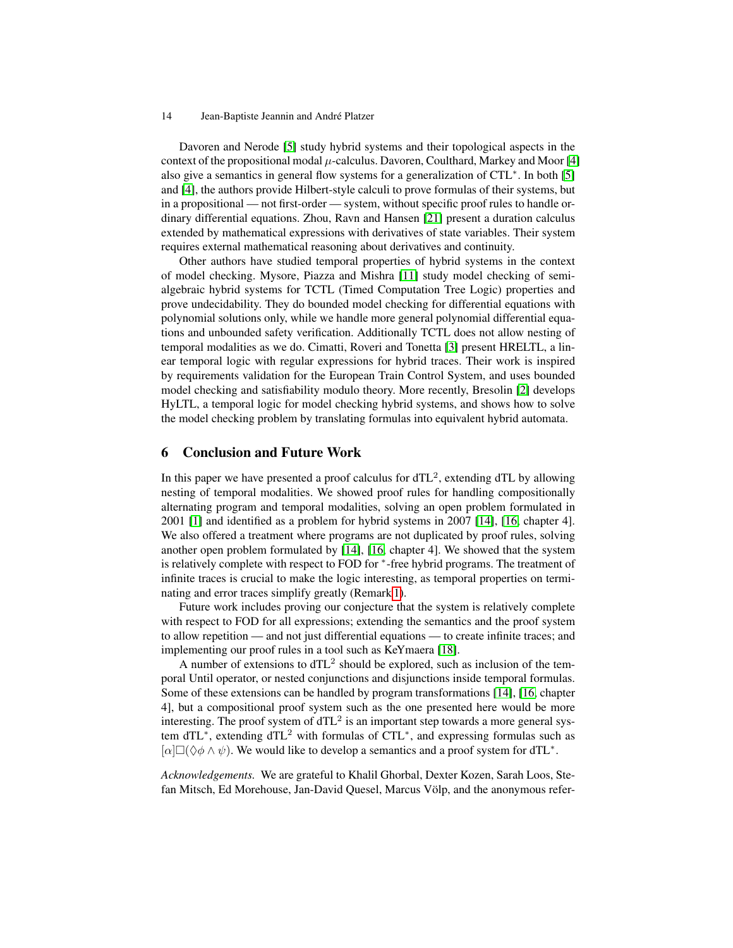Davoren and Nerode [\[5\]](#page-14-14) study hybrid systems and their topological aspects in the context of the propositional modal  $\mu$ -calculus. Davoren, Coulthard, Markey and Moor [\[4\]](#page-14-15) also give a semantics in general flow systems for a generalization of CTL<sup>∗</sup> . In both [\[5\]](#page-14-14) and [\[4\]](#page-14-15), the authors provide Hilbert-style calculi to prove formulas of their systems, but in a propositional — not first-order — system, without specific proof rules to handle ordinary differential equations. Zhou, Ravn and Hansen [\[21\]](#page-14-16) present a duration calculus extended by mathematical expressions with derivatives of state variables. Their system requires external mathematical reasoning about derivatives and continuity.

Other authors have studied temporal properties of hybrid systems in the context of model checking. Mysore, Piazza and Mishra [\[11\]](#page-14-17) study model checking of semialgebraic hybrid systems for TCTL (Timed Computation Tree Logic) properties and prove undecidability. They do bounded model checking for differential equations with polynomial solutions only, while we handle more general polynomial differential equations and unbounded safety verification. Additionally TCTL does not allow nesting of temporal modalities as we do. Cimatti, Roveri and Tonetta [\[3\]](#page-14-18) present HRELTL, a linear temporal logic with regular expressions for hybrid traces. Their work is inspired by requirements validation for the European Train Control System, and uses bounded model checking and satisfiability modulo theory. More recently, Bresolin [\[2\]](#page-14-19) develops HyLTL, a temporal logic for model checking hybrid systems, and shows how to solve the model checking problem by translating formulas into equivalent hybrid automata.

## <span id="page-13-0"></span>6 Conclusion and Future Work

In this paper we have presented a proof calculus for  $dTL^2$ , extending  $dTL$  by allowing nesting of temporal modalities. We showed proof rules for handling compositionally alternating program and temporal modalities, solving an open problem formulated in 2001 [\[1\]](#page-14-4) and identified as a problem for hybrid systems in 2007 [\[14\]](#page-14-0), [\[16,](#page-14-1) chapter 4]. We also offered a treatment where programs are not duplicated by proof rules, solving another open problem formulated by [\[14\]](#page-14-0), [\[16,](#page-14-1) chapter 4]. We showed that the system is relatively complete with respect to FOD for <sup>∗</sup> -free hybrid programs. The treatment of infinite traces is crucial to make the logic interesting, as temporal properties on terminating and error traces simplify greatly (Remark [1\)](#page-5-2).

Future work includes proving our conjecture that the system is relatively complete with respect to FOD for all expressions; extending the semantics and the proof system to allow repetition — and not just differential equations — to create infinite traces; and implementing our proof rules in a tool such as KeYmaera [\[18\]](#page-14-20).

A number of extensions to  $dTL^2$  should be explored, such as inclusion of the temporal Until operator, or nested conjunctions and disjunctions inside temporal formulas. Some of these extensions can be handled by program transformations [\[14\]](#page-14-0), [\[16,](#page-14-1) chapter 4], but a compositional proof system such as the one presented here would be more interesting. The proof system of  $dTL^2$  is an important step towards a more general system dTL<sup>\*</sup>, extending dTL<sup>2</sup> with formulas of CTL<sup>\*</sup>, and expressing formulas such as  $[\alpha] \Box (\Diamond \phi \land \psi)$ . We would like to develop a semantics and a proof system for dTL<sup>\*</sup>.

*Acknowledgements.* We are grateful to Khalil Ghorbal, Dexter Kozen, Sarah Loos, Stefan Mitsch, Ed Morehouse, Jan-David Quesel, Marcus Völp, and the anonymous refer